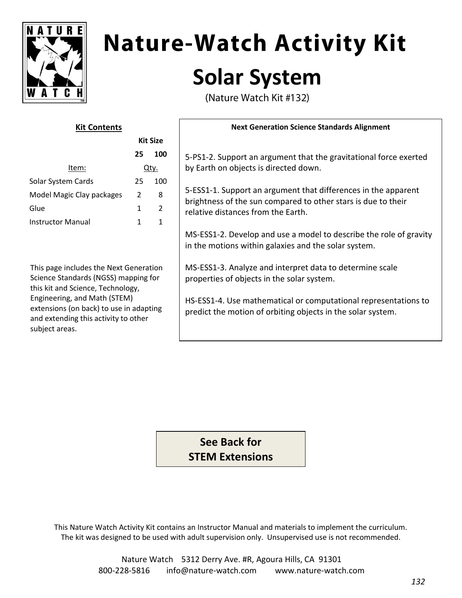

# **Nature-Watch Activity Kit Solar System**

(Nature Watch Kit #132)

| <b>Kit Contents</b>       |                 |               |
|---------------------------|-----------------|---------------|
|                           | <b>Kit Size</b> |               |
|                           | 25              | 100           |
| ltem:                     | Itv.            |               |
| Solar System Cards        | 25              | 100           |
| Model Magic Clay packages | 2               | 8             |
| Glue                      | 1               | $\mathcal{P}$ |
| Instructor Manual         | 1               |               |
|                           |                 |               |

This page includes the Next Generation Science Standards (NGSS) mapping for this kit and Science, Technology, Engineering, and Math (STEM) extensions (on back) to use in adapting and extending this activity to other subject areas.

#### **Next Generation Science Standards Alignment**

5-PS1-2. Support an argument that the gravitational force exerted by Earth on objects is directed down.

5-ESS1-1. Support an argument that differences in the apparent brightness of the sun compared to other stars is due to their relative distances from the Earth.

MS-ESS1-2. Develop and use a model to describe the role of gravity in the motions within galaxies and the solar system.

MS-ESS1-3. Analyze and interpret data to determine scale properties of objects in the solar system.

HS-ESS1-4. Use mathematical or computational representations to predict the motion of orbiting objects in the solar system.

**See Back for STEM Extensions**

This Nature Watch Activity Kit contains an Instructor Manual and materials to implement the curriculum. The kit was designed to be used with adult supervision only. Unsupervised use is not recommended.